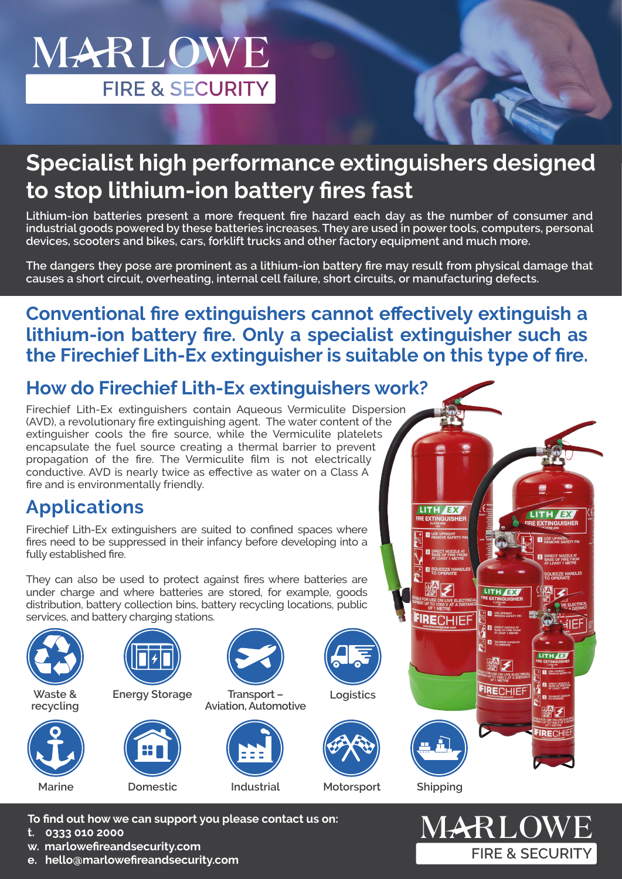# MARLOWE **FIRE & SECURITY**

# **Specialist high performance extinguishers designed to stop lithium-ion battery fires fast**

**Lithium-ion batteries present a more frequent fire hazard each day as the number of consumer and industrial goods powered by these batteries increases. They are used in power tools, computers, personal devices, scooters and bikes, cars, forklift trucks and other factory equipment and much more.** 

**The dangers they pose are prominent as a lithium-ion battery fire may result from physical damage that causes a short circuit, overheating, internal cell failure, short circuits, or manufacturing defects.**

#### **Conventional fire extinguishers cannot effectively extinguish a lithium-ion battery fire. Only a specialist extinguisher such as the Firechief Lith-Ex extinguisher is suitable on this type of fire.**

## **How do Firechief Lith-Ex extinguishers work?**

Firechief Lith-Ex extinguishers contain Aqueous Vermiculite Dispersion (AVD), a revolutionary fire extinguishing agent. The water content of the extinguisher cools the fire source, while the Vermiculite platelets encapsulate the fuel source creating a thermal barrier to prevent propagation of the fire. The Vermiculite film is not electrically conductive. AVD is nearly twice as effective as water on a Class A fire and is environmentally friendly.

# **Applications**

Firechief Lith-Ex extinguishers are suited to confined spaces where fires need to be suppressed in their infancy before developing into a fully established fire.

They can also be used to protect against fires where batteries are under charge and where batteries are stored, for example, goods distribution, battery collection bins, battery recycling locations, public services, and battery charging stations.



**To find out how we can support you please contact us on:**

- **t. 0333 010 2000**
- **w. marlowefireandsecurity.com**
- **e. hello@marlowefireandsecurity.com**

MARLOWE **FIRE & SECURITY** 

LITH **EX** 

DIRECT NOZZLE AT **BE SQUEEZE HAN** 

FIRECHIEF

LITH EX

**FIRE EXTINGUISHI** 

QUEEZE HAND

P<sup>ic</sup>iE

LITH AX

**2 DIRECT NOZZLE**<br>BASE OF FIRE FR

FIRECHIE

LITH EX

FIRE EXTINGUISHER

I USE UPRIGHT DIRECT NOZZLE AT BASE OF FIRE FROM THE ATTEMPT SI SQUEEZE HAM

四日 夕